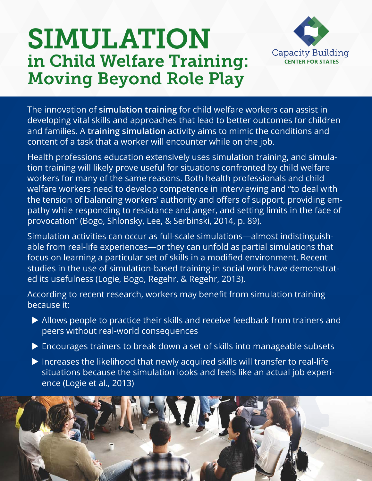# SIMULATION in Child Welfare Training: Moving Beyond Role Play



The innovation of **simulation training** for child welfare workers can assist in developing vital skills and approaches that lead to better outcomes for children and families. A **training simulation** activity aims to mimic the conditions and content of a task that a worker will encounter while on the job.

Health professions education extensively uses simulation training, and simulation training will likely prove useful for situations confronted by child welfare workers for many of the same reasons. Both health professionals and child welfare workers need to develop competence in interviewing and "to deal with the tension of balancing workers' authority and offers of support, providing empathy while responding to resistance and anger, and setting limits in the face of provocation" (Bogo, Shlonsky, Lee, & Serbinski, 2014, p. 89).

Simulation activities can occur as full-scale simulations—almost indistinguishable from real-life experiences—or they can unfold as partial simulations that focus on learning a particular set of skills in a modified environment. Recent studies in the use of simulation-based training in social work have demonstrated its usefulness (Logie, Bogo, Regehr, & Regehr, 2013).

According to recent research, workers may benefit from simulation training because it:

- $\triangleright$  Allows people to practice their skills and receive feedback from trainers and peers without real-world consequences
- $\triangleright$  Encourages trainers to break down a set of skills into manageable subsets
- $\triangleright$  Increases the likelihood that newly acquired skills will transfer to real-life situations because the simulation looks and feels like an actual job experience (Logie et al., 2013)

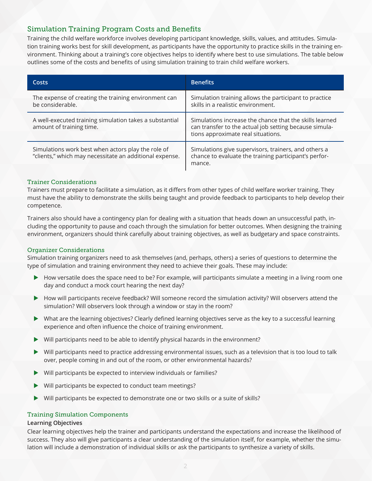# Simulation Training Program Costs and Benefits

Training the child welfare workforce involves developing participant knowledge, skills, values, and attitudes. Simulation training works best for skill development, as participants have the opportunity to practice skills in the training environment. Thinking about a training's core objectives helps to identify where best to use simulations. The table below outlines some of the costs and benefits of using simulation training to train child welfare workers.

| <b>Costs</b>                                                                                                  | <b>Benefits</b>                                                                                                                                         |
|---------------------------------------------------------------------------------------------------------------|---------------------------------------------------------------------------------------------------------------------------------------------------------|
| The expense of creating the training environment can<br>be considerable.                                      | Simulation training allows the participant to practice<br>skills in a realistic environment.                                                            |
| A well-executed training simulation takes a substantial<br>amount of training time.                           | Simulations increase the chance that the skills learned<br>can transfer to the actual job setting because simula-<br>tions approximate real situations. |
| Simulations work best when actors play the role of<br>"clients," which may necessitate an additional expense. | Simulations give supervisors, trainers, and others a<br>chance to evaluate the training participant's perfor-<br>mance.                                 |

# Trainer Considerations

Trainers must prepare to facilitate a simulation, as it differs from other types of child welfare worker training. They must have the ability to demonstrate the skills being taught and provide feedback to participants to help develop their competence.

Trainers also should have a contingency plan for dealing with a situation that heads down an unsuccessful path, including the opportunity to pause and coach through the simulation for better outcomes. When designing the training environment, organizers should think carefully about training objectives, as well as budgetary and space constraints.

# Organizer Considerations

Simulation training organizers need to ask themselves (and, perhaps, others) a series of questions to determine the type of simulation and training environment they need to achieve their goals. These may include:

- $\blacktriangleright$  How versatile does the space need to be? For example, will participants simulate a meeting in a living room one day and conduct a mock court hearing the next day?
- How will participants receive feedback? Will someone record the simulation activity? Will observers attend the simulation? Will observers look through a window or stay in the room?
- ▶ What are the learning objectives? Clearly defined learning objectives serve as the key to a successful learning experience and often influence the choice of training environment.
- $\blacktriangleright$  Will participants need to be able to identify physical hazards in the environment?
- $\triangleright$  Will participants need to practice addressing environmental issues, such as a television that is too loud to talk over, people coming in and out of the room, or other environmental hazards?
- $\blacktriangleright$  Will participants be expected to interview individuals or families?
- $\blacktriangleright$  Will participants be expected to conduct team meetings?
- $\triangleright$  Will participants be expected to demonstrate one or two skills or a suite of skills?

# Training Simulation Components

#### **Learning Objectives**

Clear learning objectives help the trainer and participants understand the expectations and increase the likelihood of success. They also will give participants a clear understanding of the simulation itself, for example, whether the simulation will include a demonstration of individual skills or ask the participants to synthesize a variety of skills.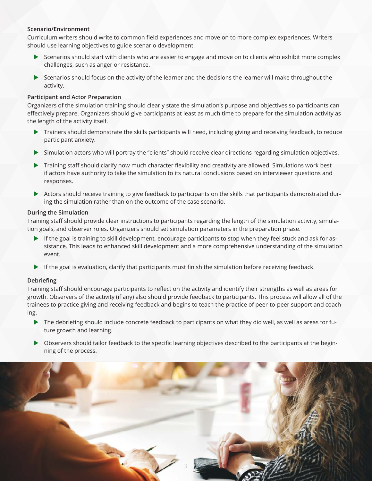### **Scenario/Environment**

Curriculum writers should write to common field experiences and move on to more complex experiences. Writers should use learning objectives to guide scenario development.

- **EXECUTE:** Scenarios should start with clients who are easier to engage and move on to clients who exhibit more complex challenges, such as anger or resistance.
- $\triangleright$  Scenarios should focus on the activity of the learner and the decisions the learner will make throughout the activity.

#### **Participant and Actor Preparation**

Organizers of the simulation training should clearly state the simulation's purpose and objectives so participants can effectively prepare. Organizers should give participants at least as much time to prepare for the simulation activity as the length of the activity itself.

- **Trainers should demonstrate the skills participants will need, including giving and receiving feedback, to reduce** participant anxiety.
- u Simulation actors who will portray the "clients" should receive clear directions regarding simulation objectives.
- Training staff should clarify how much character flexibility and creativity are allowed. Simulations work best if actors have authority to take the simulation to its natural conclusions based on interviewer questions and responses.
- Actors should receive training to give feedback to participants on the skills that participants demonstrated during the simulation rather than on the outcome of the case scenario.

#### **During the Simulation**

Training staff should provide clear instructions to participants regarding the length of the simulation activity, simulation goals, and observer roles. Organizers should set simulation parameters in the preparation phase.

- If the goal is training to skill development, encourage participants to stop when they feel stuck and ask for assistance. This leads to enhanced skill development and a more comprehensive understanding of the simulation event.
- $\blacktriangleright$  If the goal is evaluation, clarify that participants must finish the simulation before receiving feedback.

# **Debriefing**

Training staff should encourage participants to reflect on the activity and identify their strengths as well as areas for growth. Observers of the activity (if any) also should provide feedback to participants. This process will allow all of the trainees to practice giving and receiving feedback and begins to teach the practice of peer-to-peer support and coaching.

- $\triangleright$  The debriefing should include concrete feedback to participants on what they did well, as well as areas for future growth and learning.
- **Dependical on Separat Should tailor feedback to the specific learning objectives described to the participants at the begin**ning of the process.